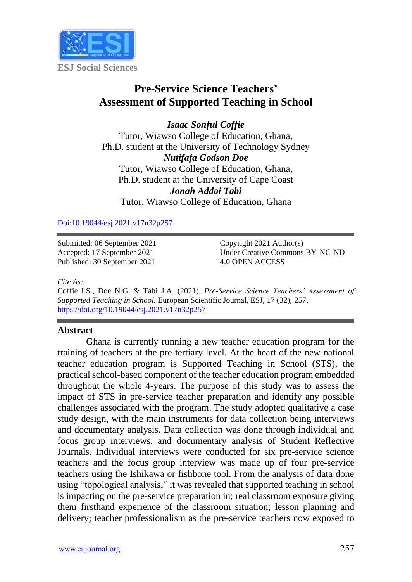

# **Pre-Service Science Teachers' Assessment of Supported Teaching in School**

*Isaac Sonful Coffie* Tutor, Wiawso College of Education, Ghana, Ph.D. student at the University of Technology Sydney *Nutifafa Godson Doe* Tutor, Wiawso College of Education, Ghana, Ph.D. student at the University of Cape Coast *Jonah Addai Tabi* Tutor, Wiawso College of Education, Ghana

[Doi:10.19044/esj.2021.v17n32p257](https://doi.org/10.19044/esj.2021.v17n32p257)

Submitted: 06 September 2021 Accepted: 17 September 2021 Published: 30 September 2021

Copyright 2021 Author(s) Under Creative Commons BY-NC-ND 4.0 OPEN ACCESS

*Cite As:*

Coffie I.S., Doe N.G. & Tabi J.A. (2021). *Pre-Service Science Teachers' Assessment of Supported Teaching in School.* European Scientific Journal, ESJ, 17 (32), 257. <https://doi.org/10.19044/esj.2021.v17n32p257>

# **Abstract**

Ghana is currently running a new teacher education program for the training of teachers at the pre-tertiary level. At the heart of the new national teacher education program is Supported Teaching in School (STS), the practical school-based component of the teacher education program embedded throughout the whole 4-years. The purpose of this study was to assess the impact of STS in pre-service teacher preparation and identify any possible challenges associated with the program. The study adopted qualitative a case study design, with the main instruments for data collection being interviews and documentary analysis. Data collection was done through individual and focus group interviews, and documentary analysis of Student Reflective Journals. Individual interviews were conducted for six pre-service science teachers and the focus group interview was made up of four pre-service teachers using the Ishikawa or fishbone tool. From the analysis of data done using "topological analysis," it was revealed that supported teaching in school is impacting on the pre-service preparation in; real classroom exposure giving them firsthand experience of the classroom situation; lesson planning and delivery; teacher professionalism as the pre-service teachers now exposed to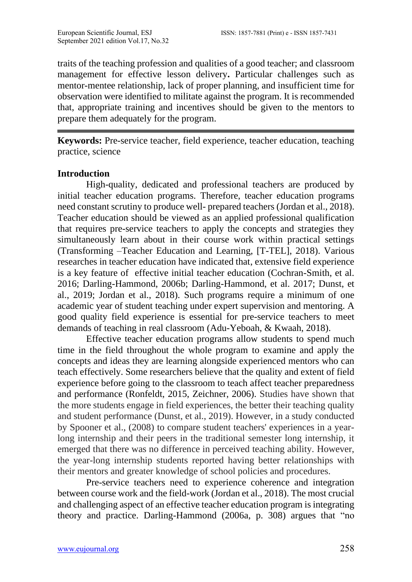traits of the teaching profession and qualities of a good teacher; and classroom management for effective lesson delivery**.** Particular challenges such as mentor-mentee relationship, lack of proper planning, and insufficient time for observation were identified to militate against the program. It is recommended that, appropriate training and incentives should be given to the mentors to prepare them adequately for the program.

**Keywords:** Pre-service teacher, field experience, teacher education, teaching practice, science

### **Introduction**

High-quality, dedicated and professional teachers are produced by initial teacher education programs. Therefore, teacher education programs need constant scrutiny to produce well- prepared teachers (Jordan et al., 2018). Teacher education should be viewed as an applied professional qualification that requires pre-service teachers to apply the concepts and strategies they simultaneously learn about in their course work within practical settings (Transforming –Teacher Education and Learning, [T-TEL], 2018). Various researches in teacher education have indicated that, extensive field experience is a key feature of effective initial teacher education (Cochran-Smith, et al. 2016; Darling-Hammond, 2006b; Darling-Hammond, et al. 2017; Dunst, et al., 2019; Jordan et al., 2018). Such programs require a minimum of one academic year of student teaching under expert supervision and mentoring. A good quality field experience is essential for pre-service teachers to meet demands of teaching in real classroom (Adu-Yeboah, & Kwaah, 2018).

Effective teacher education programs allow students to spend much time in the field throughout the whole program to examine and apply the concepts and ideas they are learning alongside experienced mentors who can teach effectively. Some researchers believe that the quality and extent of field experience before going to the classroom to teach affect teacher preparedness and performance (Ronfeldt, 2015, Zeichner, 2006). Studies have shown that the more students engage in field experiences, the better their teaching quality and student performance (Dunst, et al., 2019). However, in a study conducted by Spooner et al., (2008) to compare student teachers' experiences in a yearlong internship and their peers in the traditional semester long internship, it emerged that there was no difference in perceived teaching ability. However, the year-long internship students reported having better relationships with their mentors and greater knowledge of school policies and procedures.

Pre-service teachers need to experience coherence and integration between course work and the field-work (Jordan et al., 2018). The most crucial and challenging aspect of an effective teacher education program is integrating theory and practice. Darling-Hammond (2006a, p. 308) argues that "no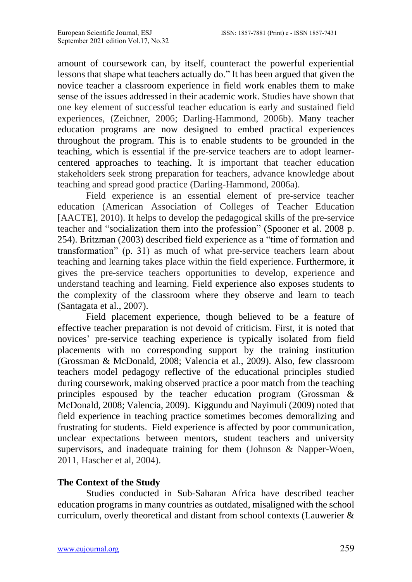amount of coursework can, by itself, counteract the powerful experiential lessons that shape what teachers actually do." It has been argued that given the novice teacher a classroom experience in field work enables them to make sense of the issues addressed in their academic work. Studies have shown that one key element of successful teacher education is early and sustained field experiences, (Zeichner, 2006; Darling-Hammond, 2006b). Many teacher education programs are now designed to embed practical experiences throughout the program. This is to enable students to be grounded in the teaching, which is essential if the pre-service teachers are to adopt learnercentered approaches to teaching. It is important that teacher education stakeholders seek strong preparation for teachers, advance knowledge about teaching and spread good practice (Darling-Hammond, 2006a).

Field experience is an essential element of pre-service teacher education (American Association of Colleges of Teacher Education [AACTE], 2010). It helps to develop the pedagogical skills of the pre-service teacher and "socialization them into the profession" (Spooner et al. 2008 p. 254). Britzman (2003) described field experience as a "time of formation and transformation" (p. 31) as much of what pre-service teachers learn about teaching and learning takes place within the field experience. Furthermore, it gives the pre-service teachers opportunities to develop, experience and understand teaching and learning. Field experience also exposes students to the complexity of the classroom where they observe and learn to teach (Santagata et al., 2007).

Field placement experience, though believed to be a feature of effective teacher preparation is not devoid of criticism. First, it is noted that novices' pre-service teaching experience is typically isolated from field placements with no corresponding support by the training institution (Grossman & McDonald, 2008; Valencia et al., 2009). Also, few classroom teachers model pedagogy reflective of the educational principles studied during coursework, making observed practice a poor match from the teaching principles espoused by the teacher education program (Grossman & McDonald, 2008; Valencia, 2009). Kiggundu and Nayimuli (2009) noted that field experience in teaching practice sometimes becomes demoralizing and frustrating for students. Field experience is affected by poor communication, unclear expectations between mentors, student teachers and university supervisors, and inadequate training for them (Johnson & Napper-Woen, 2011, Hascher et al, 2004).

# **The Context of the Study**

Studies conducted in Sub-Saharan Africa have described teacher education programs in many countries as outdated, misaligned with the school curriculum, overly theoretical and distant from school contexts (Lauwerier &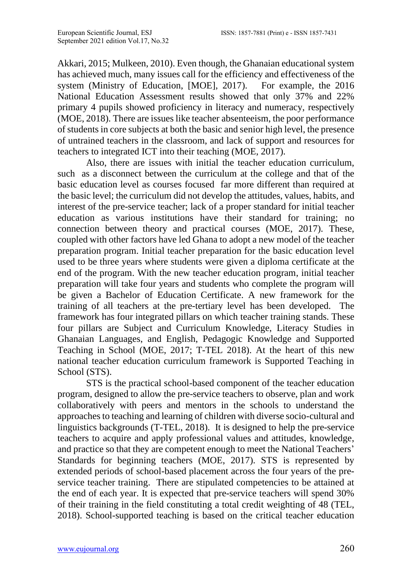Akkari, 2015; Mulkeen, 2010). Even though, the Ghanaian educational system has achieved much, many issues call for the efficiency and effectiveness of the system (Ministry of Education, [MOE], 2017). For example, the 2016 National Education Assessment results showed that only 37% and 22% primary 4 pupils showed proficiency in literacy and numeracy, respectively (MOE, 2018). There are issues like teacher absenteeism, the poor performance of students in core subjects at both the basic and senior high level, the presence of untrained teachers in the classroom, and lack of support and resources for teachers to integrated ICT into their teaching (MOE, 2017).

Also, there are issues with initial the teacher education curriculum, such as a disconnect between the curriculum at the college and that of the basic education level as courses focused far more different than required at the basic level; the curriculum did not develop the attitudes, values, habits, and interest of the pre-service teacher; lack of a proper standard for initial teacher education as various institutions have their standard for training; no connection between theory and practical courses (MOE, 2017). These, coupled with other factors have led Ghana to adopt a new model of the teacher preparation program. Initial teacher preparation for the basic education level used to be three years where students were given a diploma certificate at the end of the program. With the new teacher education program, initial teacher preparation will take four years and students who complete the program will be given a Bachelor of Education Certificate. A new framework for the training of all teachers at the pre-tertiary level has been developed. The framework has four integrated pillars on which teacher training stands. These four pillars are Subject and Curriculum Knowledge, Literacy Studies in Ghanaian Languages, and English, Pedagogic Knowledge and Supported Teaching in School (MOE, 2017; T-TEL 2018). At the heart of this new national teacher education curriculum framework is Supported Teaching in School (STS).

STS is the practical school-based component of the teacher education program, designed to allow the pre-service teachers to observe, plan and work collaboratively with peers and mentors in the schools to understand the approaches to teaching and learning of children with diverse socio-cultural and linguistics backgrounds (T-TEL, 2018). It is designed to help the pre-service teachers to acquire and apply professional values and attitudes, knowledge, and practice so that they are competent enough to meet the National Teachers' Standards for beginning teachers (MOE, 2017). STS is represented by extended periods of school-based placement across the four years of the preservice teacher training. There are stipulated competencies to be attained at the end of each year. It is expected that pre-service teachers will spend 30% of their training in the field constituting a total credit weighting of 48 (TEL, 2018). School-supported teaching is based on the critical teacher education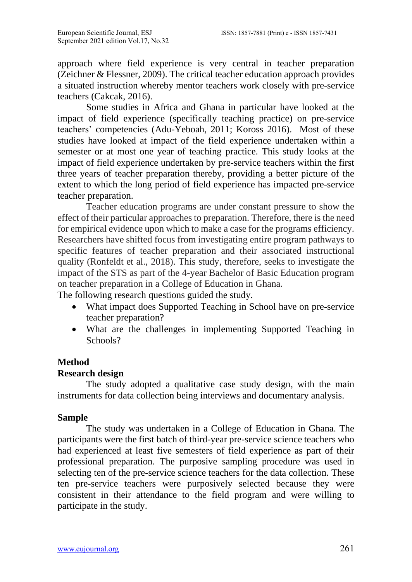approach where field experience is very central in teacher preparation (Zeichner & Flessner, 2009). The critical teacher education approach provides a situated instruction whereby mentor teachers work closely with pre-service teachers (Cakcak, 2016).

Some studies in Africa and Ghana in particular have looked at the impact of field experience (specifically teaching practice) on pre-service teachers' competencies (Adu-Yeboah, 2011; Koross 2016). Most of these studies have looked at impact of the field experience undertaken within a semester or at most one year of teaching practice. This study looks at the impact of field experience undertaken by pre-service teachers within the first three years of teacher preparation thereby, providing a better picture of the extent to which the long period of field experience has impacted pre-service teacher preparation.

Teacher education programs are under constant pressure to show the effect of their particular approaches to preparation. Therefore, there is the need for empirical evidence upon which to make a case for the programs efficiency. Researchers have shifted focus from investigating entire program pathways to specific features of teacher preparation and their associated instructional quality (Ronfeldt et al., 2018). This study, therefore, seeks to investigate the impact of the STS as part of the 4-year Bachelor of Basic Education program on teacher preparation in a College of Education in Ghana.

The following research questions guided the study.

- What impact does Supported Teaching in School have on pre-service teacher preparation?
- What are the challenges in implementing Supported Teaching in Schools?

# **Method**

# **Research design**

The study adopted a qualitative case study design, with the main instruments for data collection being interviews and documentary analysis.

#### **Sample**

The study was undertaken in a College of Education in Ghana. The participants were the first batch of third-year pre-service science teachers who had experienced at least five semesters of field experience as part of their professional preparation. The purposive sampling procedure was used in selecting ten of the pre-service science teachers for the data collection. These ten pre-service teachers were purposively selected because they were consistent in their attendance to the field program and were willing to participate in the study.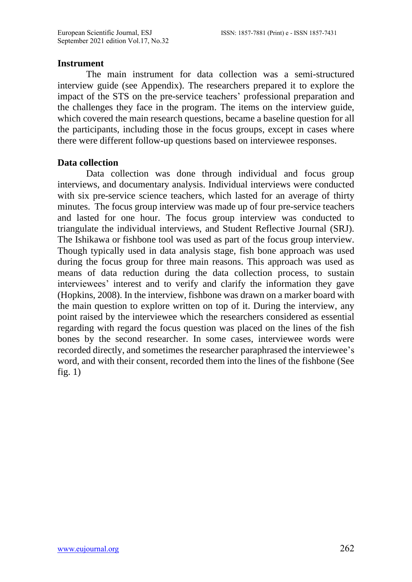### **Instrument**

The main instrument for data collection was a semi-structured interview guide (see Appendix). The researchers prepared it to explore the impact of the STS on the pre-service teachers' professional preparation and the challenges they face in the program. The items on the interview guide, which covered the main research questions, became a baseline question for all the participants, including those in the focus groups, except in cases where there were different follow-up questions based on interviewee responses.

# **Data collection**

Data collection was done through individual and focus group interviews, and documentary analysis. Individual interviews were conducted with six pre-service science teachers, which lasted for an average of thirty minutes. The focus group interview was made up of four pre-service teachers and lasted for one hour. The focus group interview was conducted to triangulate the individual interviews, and Student Reflective Journal (SRJ). The Ishikawa or fishbone tool was used as part of the focus group interview. Though typically used in data analysis stage, fish bone approach was used during the focus group for three main reasons. This approach was used as means of data reduction during the data collection process, to sustain interviewees' interest and to verify and clarify the information they gave (Hopkins, 2008). In the interview, fishbone was drawn on a marker board with the main question to explore written on top of it. During the interview, any point raised by the interviewee which the researchers considered as essential regarding with regard the focus question was placed on the lines of the fish bones by the second researcher. In some cases, interviewee words were recorded directly, and sometimes the researcher paraphrased the interviewee's word, and with their consent, recorded them into the lines of the fishbone (See fig.  $1)$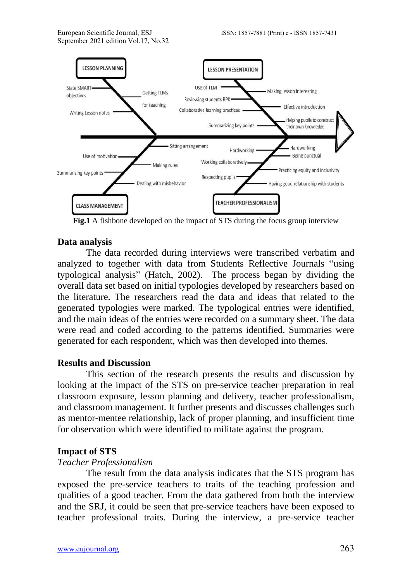

**Fig.1** A fishbone developed on the impact of STS during the focus group interview

# **Data analysis**

The data recorded during interviews were transcribed verbatim and analyzed to together with data from Students Reflective Journals "using typological analysis" (Hatch, 2002). The process began by dividing the overall data set based on initial typologies developed by researchers based on the literature. The researchers read the data and ideas that related to the generated typologies were marked. The typological entries were identified, and the main ideas of the entries were recorded on a summary sheet. The data were read and coded according to the patterns identified. Summaries were generated for each respondent, which was then developed into themes.

# **Results and Discussion**

This section of the research presents the results and discussion by looking at the impact of the STS on pre-service teacher preparation in real classroom exposure, lesson planning and delivery, teacher professionalism, and classroom management. It further presents and discusses challenges such as mentor-mentee relationship, lack of proper planning, and insufficient time for observation which were identified to militate against the program.

# **Impact of STS**

# *Teacher Professionalism*

The result from the data analysis indicates that the STS program has exposed the pre-service teachers to traits of the teaching profession and qualities of a good teacher. From the data gathered from both the interview and the SRJ, it could be seen that pre-service teachers have been exposed to teacher professional traits. During the interview, a pre-service teacher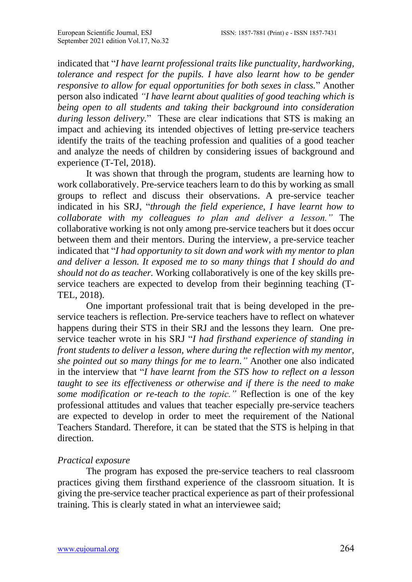indicated that "*I have learnt professional traits like punctuality, hardworking, tolerance and respect for the pupils. I have also learnt how to be gender responsive to allow for equal opportunities for both sexes in class.*" Another person also indicated *"I have learnt about qualities of good teaching which is being open to all students and taking their background into consideration during lesson delivery.*" These are clear indications that STS is making an impact and achieving its intended objectives of letting pre-service teachers identify the traits of the teaching profession and qualities of a good teacher and analyze the needs of children by considering issues of background and experience (T-Tel, 2018).

It was shown that through the program, students are learning how to work collaboratively. Pre-service teachers learn to do this by working as small groups to reflect and discuss their observations. A pre-service teacher indicated in his SRJ, "*through the field experience, I have learnt how to collaborate with my colleagues to plan and deliver a lesson."* The collaborative working is not only among pre-service teachers but it does occur between them and their mentors. During the interview, a pre-service teacher indicated that "*I had opportunity to sit down and work with my mentor to plan and deliver a lesson. It exposed me to so many things that I should do and should not do as teacher.* Working collaboratively is one of the key skills preservice teachers are expected to develop from their beginning teaching (T-TEL, 2018).

One important professional trait that is being developed in the preservice teachers is reflection. Pre-service teachers have to reflect on whatever happens during their STS in their SRJ and the lessons they learn. One preservice teacher wrote in his SRJ "*I had firsthand experience of standing in front students to deliver a lesson, where during the reflection with my mentor, she pointed out so many things for me to learn."* Another one also indicated in the interview that "*I have learnt from the STS how to reflect on a lesson taught to see its effectiveness or otherwise and if there is the need to make some modification or re-teach to the topic."* Reflection is one of the key professional attitudes and values that teacher especially pre-service teachers are expected to develop in order to meet the requirement of the National Teachers Standard. Therefore, it can be stated that the STS is helping in that direction.

# *Practical exposure*

The program has exposed the pre-service teachers to real classroom practices giving them firsthand experience of the classroom situation. It is giving the pre-service teacher practical experience as part of their professional training. This is clearly stated in what an interviewee said;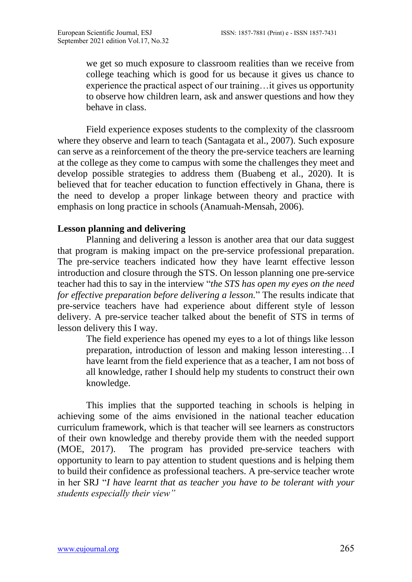we get so much exposure to classroom realities than we receive from college teaching which is good for us because it gives us chance to experience the practical aspect of our training…it gives us opportunity to observe how children learn, ask and answer questions and how they behave in class.

Field experience exposes students to the complexity of the classroom where they observe and learn to teach (Santagata et al., 2007). Such exposure can serve as a reinforcement of the theory the pre-service teachers are learning at the college as they come to campus with some the challenges they meet and develop possible strategies to address them (Buabeng et al., 2020). It is believed that for teacher education to function effectively in Ghana, there is the need to develop a proper linkage between theory and practice with emphasis on long practice in schools (Anamuah-Mensah, 2006).

### **Lesson planning and delivering**

Planning and delivering a lesson is another area that our data suggest that program is making impact on the pre-service professional preparation. The pre-service teachers indicated how they have learnt effective lesson introduction and closure through the STS. On lesson planning one pre-service teacher had this to say in the interview "*the STS has open my eyes on the need for effective preparation before delivering a lesson.*" The results indicate that pre-service teachers have had experience about different style of lesson delivery. A pre-service teacher talked about the benefit of STS in terms of lesson delivery this I way.

The field experience has opened my eyes to a lot of things like lesson preparation, introduction of lesson and making lesson interesting…I have learnt from the field experience that as a teacher, I am not boss of all knowledge, rather I should help my students to construct their own knowledge.

This implies that the supported teaching in schools is helping in achieving some of the aims envisioned in the national teacher education curriculum framework, which is that teacher will see learners as constructors of their own knowledge and thereby provide them with the needed support (MOE, 2017). The program has provided pre-service teachers with opportunity to learn to pay attention to student questions and is helping them to build their confidence as professional teachers. A pre-service teacher wrote in her SRJ "*I have learnt that as teacher you have to be tolerant with your students especially their view"*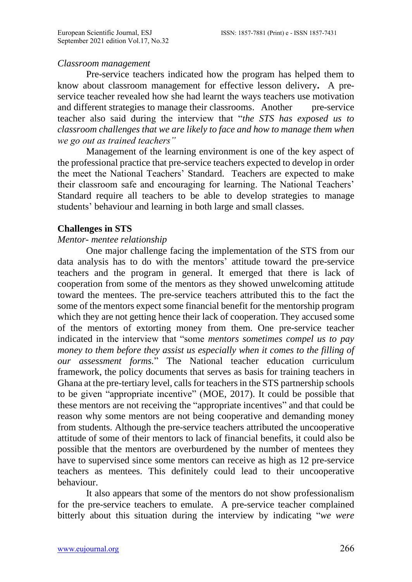### *Classroom management*

Pre-service teachers indicated how the program has helped them to know about classroom management for effective lesson delivery**.** A preservice teacher revealed how she had learnt the ways teachers use motivation and different strategies to manage their classrooms. Another pre-service teacher also said during the interview that "*the STS has exposed us to classroom challenges that we are likely to face and how to manage them when we go out as trained teachers"*

Management of the learning environment is one of the key aspect of the professional practice that pre-service teachers expected to develop in order the meet the National Teachers' Standard. Teachers are expected to make their classroom safe and encouraging for learning. The National Teachers' Standard require all teachers to be able to develop strategies to manage students' behaviour and learning in both large and small classes.

# **Challenges in STS**

# *Mentor- mentee relationship*

One major challenge facing the implementation of the STS from our data analysis has to do with the mentors' attitude toward the pre-service teachers and the program in general. It emerged that there is lack of cooperation from some of the mentors as they showed unwelcoming attitude toward the mentees. The pre-service teachers attributed this to the fact the some of the mentors expect some financial benefit for the mentorship program which they are not getting hence their lack of cooperation. They accused some of the mentors of extorting money from them. One pre-service teacher indicated in the interview that "some *mentors sometimes compel us to pay money to them before they assist us especially when it comes to the filling of our assessment forms.*" The National teacher education curriculum framework, the policy documents that serves as basis for training teachers in Ghana at the pre-tertiary level, calls for teachers in the STS partnership schools to be given "appropriate incentive" (MOE, 2017). It could be possible that these mentors are not receiving the "appropriate incentives" and that could be reason why some mentors are not being cooperative and demanding money from students. Although the pre-service teachers attributed the uncooperative attitude of some of their mentors to lack of financial benefits, it could also be possible that the mentors are overburdened by the number of mentees they have to supervised since some mentors can receive as high as 12 pre-service teachers as mentees. This definitely could lead to their uncooperative behaviour.

It also appears that some of the mentors do not show professionalism for the pre-service teachers to emulate. A pre-service teacher complained bitterly about this situation during the interview by indicating "*we were*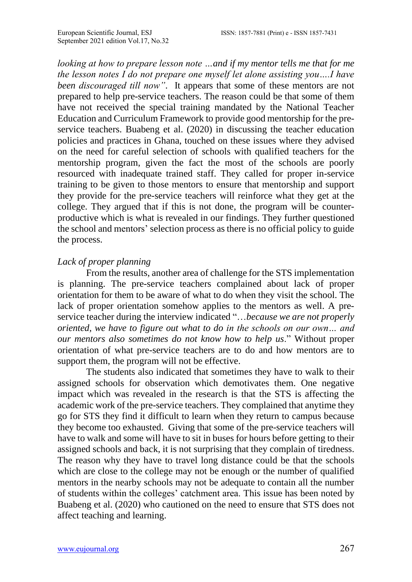*looking at how to prepare lesson note ...and if my mentor tells me that for me the lesson notes I do not prepare one myself let alone assisting you….I have been discouraged till now"*. It appears that some of these mentors are not prepared to help pre-service teachers. The reason could be that some of them have not received the special training mandated by the National Teacher Education and Curriculum Framework to provide good mentorship for the preservice teachers. Buabeng et al. (2020) in discussing the teacher education policies and practices in Ghana, touched on these issues where they advised on the need for careful selection of schools with qualified teachers for the mentorship program, given the fact the most of the schools are poorly resourced with inadequate trained staff. They called for proper in-service training to be given to those mentors to ensure that mentorship and support they provide for the pre-service teachers will reinforce what they get at the college. They argued that if this is not done, the program will be counterproductive which is what is revealed in our findings. They further questioned the school and mentors' selection process as there is no official policy to guide the process.

### *Lack of proper planning*

From the results, another area of challenge for the STS implementation is planning. The pre-service teachers complained about lack of proper orientation for them to be aware of what to do when they visit the school. The lack of proper orientation somehow applies to the mentors as well. A preservice teacher during the interview indicated "…*because we are not properly oriented, we have to figure out what to do in the schools on our own… and our mentors also sometimes do not know how to help us*." Without proper orientation of what pre-service teachers are to do and how mentors are to support them, the program will not be effective.

The students also indicated that sometimes they have to walk to their assigned schools for observation which demotivates them. One negative impact which was revealed in the research is that the STS is affecting the academic work of the pre-service teachers. They complained that anytime they go for STS they find it difficult to learn when they return to campus because they become too exhausted. Giving that some of the pre-service teachers will have to walk and some will have to sit in buses for hours before getting to their assigned schools and back, it is not surprising that they complain of tiredness. The reason why they have to travel long distance could be that the schools which are close to the college may not be enough or the number of qualified mentors in the nearby schools may not be adequate to contain all the number of students within the colleges' catchment area. This issue has been noted by Buabeng et al. (2020) who cautioned on the need to ensure that STS does not affect teaching and learning.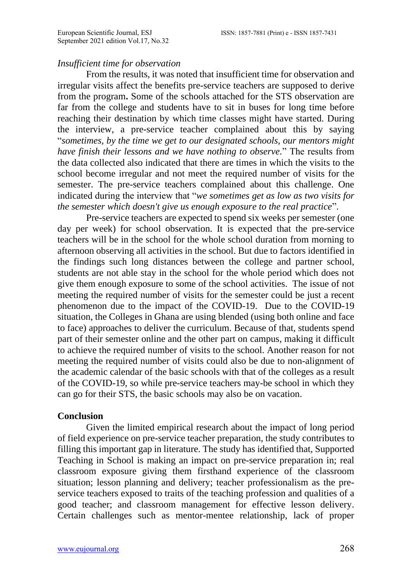### *Insufficient time for observation*

From the results, it was noted that insufficient time for observation and irregular visits affect the benefits pre-service teachers are supposed to derive from the program**.** Some of the schools attached for the STS observation are far from the college and students have to sit in buses for long time before reaching their destination by which time classes might have started. During the interview, a pre-service teacher complained about this by saying "*sometimes, by the time we get to our designated schools, our mentors might have finish their lessons and we have nothing to observe.*" The results from the data collected also indicated that there are times in which the visits to the school become irregular and not meet the required number of visits for the semester. The pre-service teachers complained about this challenge. One indicated during the interview that "*we sometimes get as low as two visits for the semester which doesn't give us enough exposure to the real practice*".

Pre-service teachers are expected to spend six weeks per semester (one day per week) for school observation. It is expected that the pre-service teachers will be in the school for the whole school duration from morning to afternoon observing all activities in the school. But due to factors identified in the findings such long distances between the college and partner school, students are not able stay in the school for the whole period which does not give them enough exposure to some of the school activities. The issue of not meeting the required number of visits for the semester could be just a recent phenomenon due to the impact of the COVID-19. Due to the COVID-19 situation, the Colleges in Ghana are using blended (using both online and face to face) approaches to deliver the curriculum. Because of that, students spend part of their semester online and the other part on campus, making it difficult to achieve the required number of visits to the school. Another reason for not meeting the required number of visits could also be due to non-alignment of the academic calendar of the basic schools with that of the colleges as a result of the COVID-19, so while pre-service teachers may-be school in which they can go for their STS, the basic schools may also be on vacation.

#### **Conclusion**

Given the limited empirical research about the impact of long period of field experience on pre-service teacher preparation, the study contributes to filling this important gap in literature. The study has identified that, Supported Teaching in School is making an impact on pre-service preparation in; real classroom exposure giving them firsthand experience of the classroom situation; lesson planning and delivery; teacher professionalism as the preservice teachers exposed to traits of the teaching profession and qualities of a good teacher; and classroom management for effective lesson delivery. Certain challenges such as mentor-mentee relationship, lack of proper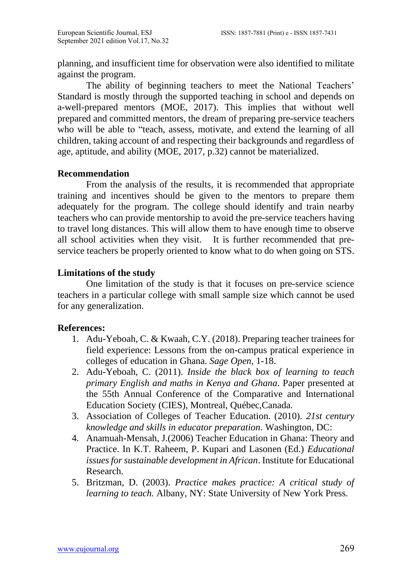planning, and insufficient time for observation were also identified to militate against the program.

The ability of beginning teachers to meet the National Teachers' Standard is mostly through the supported teaching in school and depends on a-well-prepared mentors (MOE, 2017). This implies that without well prepared and committed mentors, the dream of preparing pre-service teachers who will be able to "teach, assess, motivate, and extend the learning of all children, taking account of and respecting their backgrounds and regardless of age, aptitude, and ability (MOE, 2017, p.32) cannot be materialized.

### **Recommendation**

From the analysis of the results, it is recommended that appropriate training and incentives should be given to the mentors to prepare them adequately for the program. The college should identify and train nearby teachers who can provide mentorship to avoid the pre-service teachers having to travel long distances. This will allow them to have enough time to observe all school activities when they visit. It is further recommended that preservice teachers be properly oriented to know what to do when going on STS.

# **Limitations of the study**

One limitation of the study is that it focuses on pre-service science teachers in a particular college with small sample size which cannot be used for any generalization.

# **References:**

- 1. Adu-Yeboah, C. & Kwaah, C.Y. (2018). Preparing teacher trainees for field experience: Lessons from the on-campus pratical experience in colleges of education in Ghana. *Sage Open*, 1-18.
- 2. Adu-Yeboah, C. (2011). *Inside the black box of learning to teach primary English and maths in Kenya and Ghana*. Paper presented at the 55th Annual Conference of the Comparative and International Education Society (CIES), Montreal, Québec,Canada.
- 3. Association of Colleges of Teacher Education. (2010). *21st century knowledge and skills in educator preparation*. Washington, DC:
- 4. Anamuah-Mensah, J.(2006) Teacher Education in Ghana: Theory and Practice. In K.T. Raheem, P. Kupari and Lasonen (Ed.) *Educational issues for sustainable development in African*. Institute for Educational Research.
- 5. Britzman, D. (2003). *Practice makes practice: A critical study of learning to teach.* Albany, NY: State University of New York Press.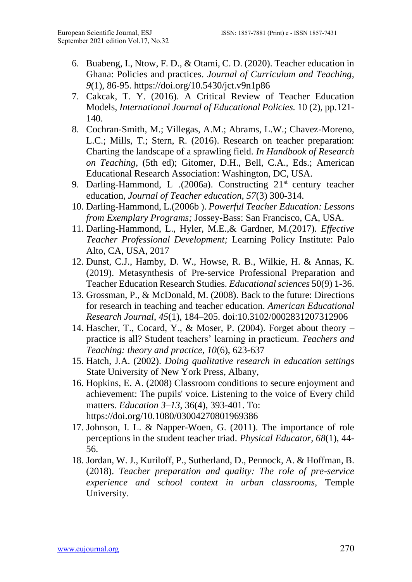- 6. Buabeng, I., Ntow, F. D., & Otami, C. D. (2020). Teacher education in Ghana: Policies and practices. *Journal of Curriculum and Teaching*, *9*(1), 86-95. <https://doi.org/10.5430/jct.v9n1p86>
- 7. Cakcak, T. Y. (2016). A Critical Review of Teacher Education Models, *International Journal of Educational Policies.* 10 (2), pp.121- 140.
- 8. Cochran-Smith, M.; Villegas, A.M.; Abrams, L.W.; Chavez-Moreno, L.C.; Mills, T.; Stern, R. (2016). Research on teacher preparation: Charting the landscape of a sprawling field. *In Handbook of Research on Teaching,* (5th ed); Gitomer, D.H., Bell, C.A., Eds.; American Educational Research Association: Washington, DC, USA.
- 9. Darling-Hammond, L .(2006a). Constructing 21<sup>st</sup> century teacher education, *Journal of Teacher education, 57*(3) 300-314.
- 10. Darling-Hammond, L.(2006b ). *Powerful Teacher Education: Lessons from Exemplary Programs;* Jossey-Bass: San Francisco, CA, USA.
- 11. Darling-Hammond, L., Hyler, M.E.,& Gardner, M.(2017). *Effective Teacher Professional Development;* Learning Policy Institute: Palo Alto, CA, USA, 2017
- 12. Dunst, C.J., Hamby, D. W., Howse, R. B., Wilkie, H. & Annas, K. (2019). Metasynthesis of Pre-service Professional Preparation and Teacher Education Research Studies*. Educational sciences* 50(9) 1-36.
- 13. Grossman, P., & McDonald, M. (2008). Back to the future: Directions for research in teaching and teacher education. *American Educational Research Journal*, *45*(1), 184–205. doi:10.3102/0002831207312906
- 14. Hascher, T., Cocard, Y., & Moser, P. (2004). Forget about theory practice is all? Student teachers' learning in practicum. *Teachers and Teaching: theory and practice, 10*(6), 623-637
- 15. Hatch, J.A. (2002). *Doing qualitative research in education settings* State University of New York Press, Albany,
- 16. Hopkins, E. A. (2008) Classroom conditions to secure enjoyment and achievement: The pupils' voice. Listening to the voice of Every child matters*. Education 3–13*, 36(4), 393-401. To: <https://doi.org/10.1080/03004270801969386>
- 17. Johnson, I. L. & Napper-Woen, G. (2011). The importance of role perceptions in the student teacher triad. *Physical Educator, 68*(1), 44- 56.
- 18. Jordan, W. J., Kuriloff, P., Sutherland, D., Pennock, A. & Hoffman, B. (2018). *Teacher preparation and quality: The role of pre-service experience and school context in urban classrooms,* Temple University.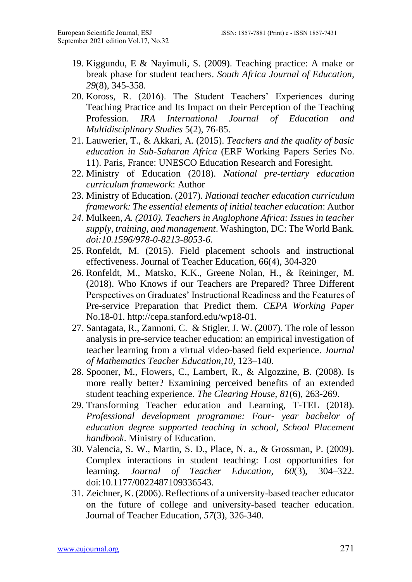- 19. Kiggundu, E & Nayimuli, S. (2009). Teaching practice: A make or break phase for student teachers. *South Africa Journal of Education, 29*(8), 345-358.
- 20. Koross, R. (2016). The Student Teachers' Experiences during Teaching Practice and Its Impact on their Perception of the Teaching Profession. *IRA International Journal of Education and Multidisciplinary Studies* 5(2), 76-85.
- 21. Lauwerier, T., & Akkari, A. (2015). *Teachers and the quality of basic education in Sub-Saharan Africa* (ERF Working Papers Series No. 11). Paris, France: UNESCO Education Research and Foresight.
- 22. Ministry of Education (2018). *National pre-tertiary education curriculum framework*: Author
- 23. Ministry of Education. (2017). *National teacher education curriculum framework: The essential elements of initial teacher education*: Author
- *24.* Mulkeen, *A. (2010). Teachers in Anglophone Africa: Issues in teacher supply, training, and management*. Washington, DC: The World Bank*. doi:10.1596/978-0-8213-8053-6.*
- 25. Ronfeldt, M. (2015). Field placement schools and instructional effectiveness. Journal of Teacher Education, 66(4), 304-320
- 26. Ronfeldt, M., Matsko, K.K., Greene Nolan, H., & Reininger, M. (2018). Who Knows if our Teachers are Prepared? Three Different Perspectives on Graduates' Instructional Readiness and the Features of Pre-service Preparation that Predict them. *CEPA Working Paper*  No.18-01. [http://cepa.stanford.edu/wp18-01.](http://cepa.stanford.edu/wp18-01)
- 27. Santagata, R., Zannoni, C. & Stigler, J. W. (2007). The role of lesson analysis in pre-service teacher education: an empirical investigation of teacher learning from a virtual video-based field experience. *Journal of Mathematics Teacher Education,10*, 123–140.
- 28. Spooner, M., Flowers, C., Lambert, R., & Algozzine, B. (2008). Is more really better? Examining perceived benefits of an extended student teaching experience. *The Clearing House, 81*(6), 263-269.
- 29. Transforming Teacher education and Learning, T-TEL (2018). *Professional development programme: Four- year bachelor of education degree supported teaching in school, School Placement handbook*. Ministry of Education.
- 30. Valencia, S. W., Martin, S. D., Place, N. a., & Grossman, P. (2009). Complex interactions in student teaching: Lost opportunities for learning. *Journal of Teacher Education*, *60*(3), 304–322. doi:10.1177/0022487109336543.
- 31. Zeichner, K. (2006). Reflections of a university-based teacher educator on the future of college and university-based teacher education. Journal of Teacher Education, *57*(3), 326-340.